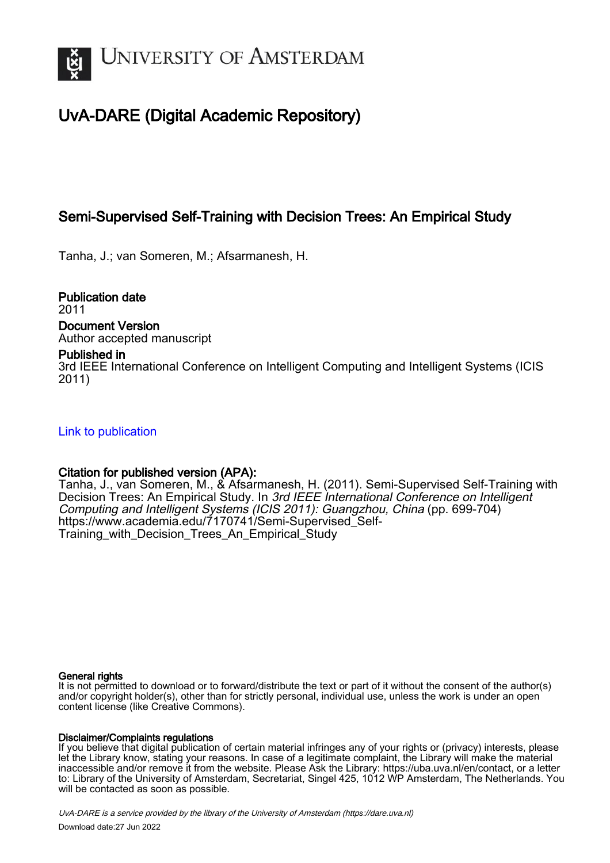

# UvA-DARE (Digital Academic Repository)

# Semi-Supervised Self-Training with Decision Trees: An Empirical Study

Tanha, J.; van Someren, M.; Afsarmanesh, H.

Publication date 2011 Document Version Author accepted manuscript

# Published in

3rd IEEE International Conference on Intelligent Computing and Intelligent Systems (ICIS 2011)

[Link to publication](https://dare.uva.nl/personal/pure/en/publications/semisupervised-selftraining-with-decision-trees-an-empirical-study(716528dc-72c7-4ec7-9a5c-e9fba5cc1d91).html)

# Citation for published version (APA):

Tanha, J., van Someren, M., & Afsarmanesh, H. (2011). Semi-Supervised Self-Training with Decision Trees: An Empirical Study. In 3rd IEEE International Conference on Intelligent Computing and Intelligent Systems (ICIS 2011): Guangzhou, China (pp. 699-704) [https://www.academia.edu/7170741/Semi-Supervised\\_Self-](https://www.academia.edu/7170741/Semi-Supervised_Self-Training_with_Decision_Trees_An_Empirical_Study)[Training\\_with\\_Decision\\_Trees\\_An\\_Empirical\\_Study](https://www.academia.edu/7170741/Semi-Supervised_Self-Training_with_Decision_Trees_An_Empirical_Study)

## General rights

It is not permitted to download or to forward/distribute the text or part of it without the consent of the author(s) and/or copyright holder(s), other than for strictly personal, individual use, unless the work is under an open content license (like Creative Commons).

## Disclaimer/Complaints regulations

If you believe that digital publication of certain material infringes any of your rights or (privacy) interests, please let the Library know, stating your reasons. In case of a legitimate complaint, the Library will make the material inaccessible and/or remove it from the website. Please Ask the Library: https://uba.uva.nl/en/contact, or a letter to: Library of the University of Amsterdam, Secretariat, Singel 425, 1012 WP Amsterdam, The Netherlands. You will be contacted as soon as possible.

UvA-DARE is a service provided by the library of the University of Amsterdam (http*s*://dare.uva.nl) Download date:27 Jun 2022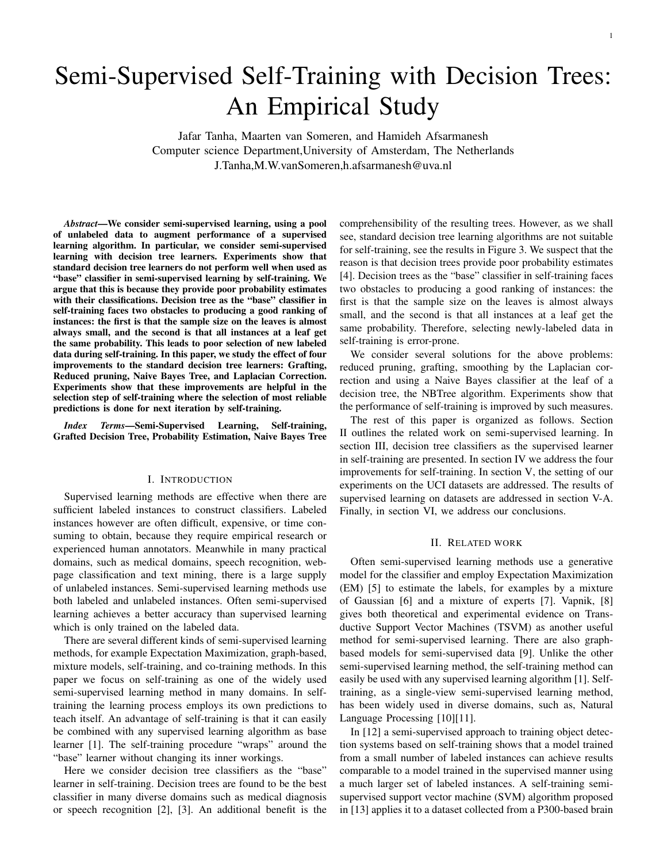# Semi-Supervised Self-Training with Decision Trees: An Empirical Study

Jafar Tanha, Maarten van Someren, and Hamideh Afsarmanesh Computer science Department,University of Amsterdam, The Netherlands J.Tanha,M.W.vanSomeren,h.afsarmanesh@uva.nl

*Abstract*—We consider semi-supervised learning, using a pool of unlabeled data to augment performance of a supervised learning algorithm. In particular, we consider semi-supervised learning with decision tree learners. Experiments show that standard decision tree learners do not perform well when used as "base" classifier in semi-supervised learning by self-training. We argue that this is because they provide poor probability estimates with their classifications. Decision tree as the "base" classifier in self-training faces two obstacles to producing a good ranking of instances: the first is that the sample size on the leaves is almost always small, and the second is that all instances at a leaf get the same probability. This leads to poor selection of new labeled data during self-training. In this paper, we study the effect of four improvements to the standard decision tree learners: Grafting, Reduced pruning, Naive Bayes Tree, and Laplacian Correction. Experiments show that these improvements are helpful in the selection step of self-training where the selection of most reliable predictions is done for next iteration by self-training.

*Index Terms*—Semi-Supervised Learning, Self-training, Grafted Decision Tree, Probability Estimation, Naive Bayes Tree

#### I. INTRODUCTION

Supervised learning methods are effective when there are sufficient labeled instances to construct classifiers. Labeled instances however are often difficult, expensive, or time consuming to obtain, because they require empirical research or experienced human annotators. Meanwhile in many practical domains, such as medical domains, speech recognition, webpage classification and text mining, there is a large supply of unlabeled instances. Semi-supervised learning methods use both labeled and unlabeled instances. Often semi-supervised learning achieves a better accuracy than supervised learning which is only trained on the labeled data.

There are several different kinds of semi-supervised learning methods, for example Expectation Maximization, graph-based, mixture models, self-training, and co-training methods. In this paper we focus on self-training as one of the widely used semi-supervised learning method in many domains. In selftraining the learning process employs its own predictions to teach itself. An advantage of self-training is that it can easily be combined with any supervised learning algorithm as base learner [1]. The self-training procedure "wraps" around the "base" learner without changing its inner workings.

Here we consider decision tree classifiers as the "base" learner in self-training. Decision trees are found to be the best classifier in many diverse domains such as medical diagnosis or speech recognition [2], [3]. An additional benefit is the comprehensibility of the resulting trees. However, as we shall see, standard decision tree learning algorithms are not suitable for self-training, see the results in Figure 3. We suspect that the reason is that decision trees provide poor probability estimates [4]. Decision trees as the "base" classifier in self-training faces two obstacles to producing a good ranking of instances: the first is that the sample size on the leaves is almost always small, and the second is that all instances at a leaf get the same probability. Therefore, selecting newly-labeled data in self-training is error-prone.

We consider several solutions for the above problems: reduced pruning, grafting, smoothing by the Laplacian correction and using a Naive Bayes classifier at the leaf of a decision tree, the NBTree algorithm. Experiments show that the performance of self-training is improved by such measures.

The rest of this paper is organized as follows. Section II outlines the related work on semi-supervised learning. In section III, decision tree classifiers as the supervised learner in self-training are presented. In section IV we address the four improvements for self-training. In section V, the setting of our experiments on the UCI datasets are addressed. The results of supervised learning on datasets are addressed in section V-A. Finally, in section VI, we address our conclusions.

#### II. RELATED WORK

Often semi-supervised learning methods use a generative model for the classifier and employ Expectation Maximization (EM) [5] to estimate the labels, for examples by a mixture of Gaussian [6] and a mixture of experts [7]. Vapnik, [8] gives both theoretical and experimental evidence on Transductive Support Vector Machines (TSVM) as another useful method for semi-supervised learning. There are also graphbased models for semi-supervised data [9]. Unlike the other semi-supervised learning method, the self-training method can easily be used with any supervised learning algorithm [1]. Selftraining, as a single-view semi-supervised learning method, has been widely used in diverse domains, such as, Natural Language Processing [10][11].

In [12] a semi-supervised approach to training object detection systems based on self-training shows that a model trained from a small number of labeled instances can achieve results comparable to a model trained in the supervised manner using a much larger set of labeled instances. A self-training semisupervised support vector machine (SVM) algorithm proposed in [13] applies it to a dataset collected from a P300-based brain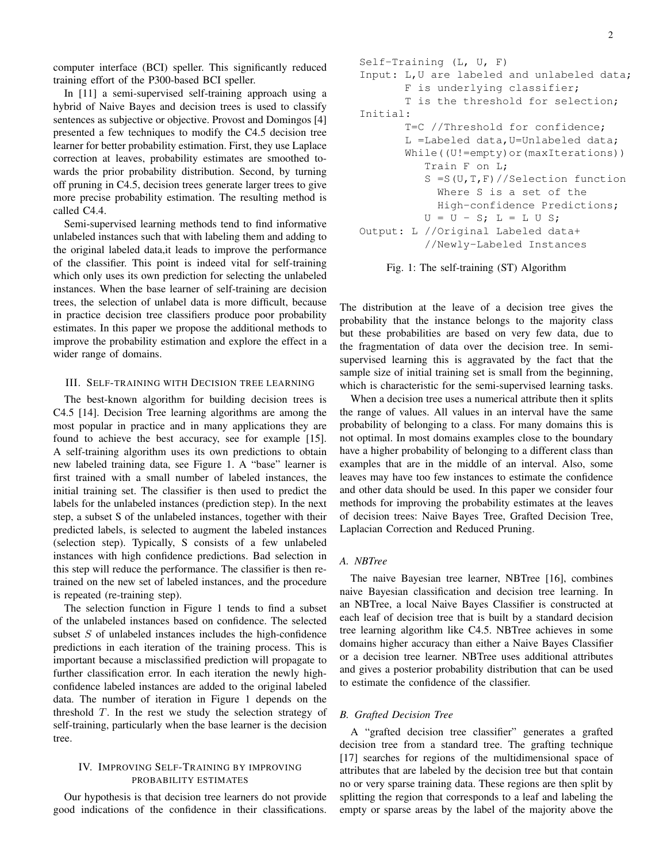computer interface (BCI) speller. This significantly reduced training effort of the P300-based BCI speller.

In [11] a semi-supervised self-training approach using a hybrid of Naive Bayes and decision trees is used to classify sentences as subjective or objective. Provost and Domingos [4] presented a few techniques to modify the C4.5 decision tree learner for better probability estimation. First, they use Laplace correction at leaves, probability estimates are smoothed towards the prior probability distribution. Second, by turning off pruning in C4.5, decision trees generate larger trees to give more precise probability estimation. The resulting method is called C4.4.

Semi-supervised learning methods tend to find informative unlabeled instances such that with labeling them and adding to the original labeled data,it leads to improve the performance of the classifier. This point is indeed vital for self-training which only uses its own prediction for selecting the unlabeled instances. When the base learner of self-training are decision trees, the selection of unlabel data is more difficult, because in practice decision tree classifiers produce poor probability estimates. In this paper we propose the additional methods to improve the probability estimation and explore the effect in a wider range of domains.

## III. SELF-TRAINING WITH DECISION TREE LEARNING

The best-known algorithm for building decision trees is C4.5 [14]. Decision Tree learning algorithms are among the most popular in practice and in many applications they are found to achieve the best accuracy, see for example [15]. A self-training algorithm uses its own predictions to obtain new labeled training data, see Figure 1. A "base" learner is first trained with a small number of labeled instances, the initial training set. The classifier is then used to predict the labels for the unlabeled instances (prediction step). In the next step, a subset S of the unlabeled instances, together with their predicted labels, is selected to augment the labeled instances (selection step). Typically, S consists of a few unlabeled instances with high confidence predictions. Bad selection in this step will reduce the performance. The classifier is then retrained on the new set of labeled instances, and the procedure is repeated (re-training step).

The selection function in Figure 1 tends to find a subset of the unlabeled instances based on confidence. The selected subset  $S$  of unlabeled instances includes the high-confidence predictions in each iteration of the training process. This is important because a misclassified prediction will propagate to further classification error. In each iteration the newly highconfidence labeled instances are added to the original labeled data. The number of iteration in Figure 1 depends on the threshold  $T$ . In the rest we study the selection strategy of self-training, particularly when the base learner is the decision tree.

#### IV. IMPROVING SELF-TRAINING BY IMPROVING PROBABILITY ESTIMATES

Our hypothesis is that decision tree learners do not provide good indications of the confidence in their classifications.

```
Self-Training (L, U, F)
Input: L,U are labeled and unlabeled data;
       F is underlying classifier;
       T is the threshold for selection;
Initial:
       T=C //Threshold for confidence;
       L =Labeled data,U=Unlabeled data;
       While((U!=empty)or(maxIterations))
          Train F on L;
          S =S(U,T,F)//Selection function
            Where S is a set of the
            High-confidence Predictions;
          U = U - S; L = L U S;
Output: L //Original Labeled data+
          //Newly-Labeled Instances
```


The distribution at the leave of a decision tree gives the probability that the instance belongs to the majority class but these probabilities are based on very few data, due to the fragmentation of data over the decision tree. In semisupervised learning this is aggravated by the fact that the sample size of initial training set is small from the beginning, which is characteristic for the semi-supervised learning tasks.

When a decision tree uses a numerical attribute then it splits the range of values. All values in an interval have the same probability of belonging to a class. For many domains this is not optimal. In most domains examples close to the boundary have a higher probability of belonging to a different class than examples that are in the middle of an interval. Also, some leaves may have too few instances to estimate the confidence and other data should be used. In this paper we consider four methods for improving the probability estimates at the leaves of decision trees: Naive Bayes Tree, Grafted Decision Tree, Laplacian Correction and Reduced Pruning.

#### *A. NBTree*

The naive Bayesian tree learner, NBTree [16], combines naive Bayesian classification and decision tree learning. In an NBTree, a local Naive Bayes Classifier is constructed at each leaf of decision tree that is built by a standard decision tree learning algorithm like C4.5. NBTree achieves in some domains higher accuracy than either a Naive Bayes Classifier or a decision tree learner. NBTree uses additional attributes and gives a posterior probability distribution that can be used to estimate the confidence of the classifier.

#### *B. Grafted Decision Tree*

A "grafted decision tree classifier" generates a grafted decision tree from a standard tree. The grafting technique [17] searches for regions of the multidimensional space of attributes that are labeled by the decision tree but that contain no or very sparse training data. These regions are then split by splitting the region that corresponds to a leaf and labeling the empty or sparse areas by the label of the majority above the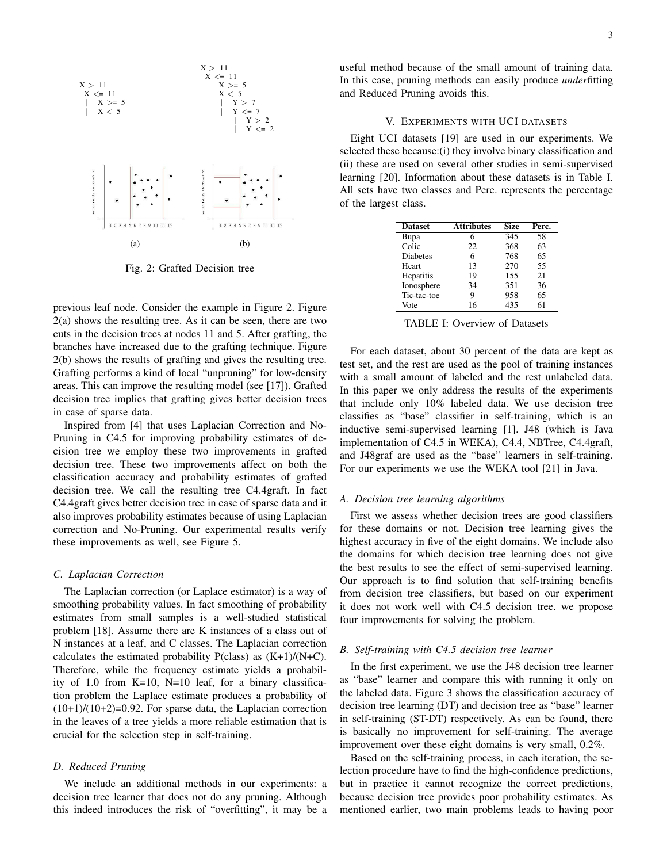

Fig. 2: Grafted Decision tree

previous leaf node. Consider the example in Figure 2. Figure 2(a) shows the resulting tree. As it can be seen, there are two cuts in the decision trees at nodes 11 and 5. After grafting, the branches have increased due to the grafting technique. Figure 2(b) shows the results of grafting and gives the resulting tree. Grafting performs a kind of local "unpruning" for low-density areas. This can improve the resulting model (see [17]). Grafted decision tree implies that grafting gives better decision trees in case of sparse data.

Inspired from [4] that uses Laplacian Correction and No-Pruning in C4.5 for improving probability estimates of decision tree we employ these two improvements in grafted decision tree. These two improvements affect on both the classification accuracy and probability estimates of grafted decision tree. We call the resulting tree C4.4graft. In fact C4.4graft gives better decision tree in case of sparse data and it also improves probability estimates because of using Laplacian correction and No-Pruning. Our experimental results verify these improvements as well, see Figure 5.

#### *C. Laplacian Correction*

The Laplacian correction (or Laplace estimator) is a way of smoothing probability values. In fact smoothing of probability estimates from small samples is a well-studied statistical problem [18]. Assume there are K instances of a class out of N instances at a leaf, and C classes. The Laplacian correction calculates the estimated probability  $P(class)$  as  $(K+1)/(N+C)$ . Therefore, while the frequency estimate yields a probability of 1.0 from K=10, N=10 leaf, for a binary classification problem the Laplace estimate produces a probability of  $(10+1)/(10+2)=0.92$ . For sparse data, the Laplacian correction in the leaves of a tree yields a more reliable estimation that is crucial for the selection step in self-training.

#### *D. Reduced Pruning*

We include an additional methods in our experiments: a decision tree learner that does not do any pruning. Although this indeed introduces the risk of "overfitting", it may be a useful method because of the small amount of training data. In this case, pruning methods can easily produce *under*fitting and Reduced Pruning avoids this.

#### V. EXPERIMENTS WITH UCI DATASETS

Eight UCI datasets [19] are used in our experiments. We selected these because:(i) they involve binary classification and (ii) these are used on several other studies in semi-supervised learning [20]. Information about these datasets is in Table I. All sets have two classes and Perc. represents the percentage of the largest class.

| <b>Dataset</b>  | <b>Attributes</b> | <b>Size</b> | Perc. |
|-----------------|-------------------|-------------|-------|
| Bupa            | 6                 | 345         | 58    |
| Colic           | 22                | 368         | 63    |
| <b>Diabetes</b> | 6                 | 768         | 65    |
| <b>Heart</b>    | 13                | 270         | 55    |
| Hepatitis       | 19                | 155         | 21    |
| Ionosphere      | 34                | 351         | 36    |
| Tic-tac-toe     | 9                 | 958         | 65    |
| Vote            | 16                | 435         | 61    |

TABLE I: Overview of Datasets

For each dataset, about 30 percent of the data are kept as test set, and the rest are used as the pool of training instances with a small amount of labeled and the rest unlabeled data. In this paper we only address the results of the experiments that include only 10% labeled data. We use decision tree classifies as "base" classifier in self-training, which is an inductive semi-supervised learning [1]. J48 (which is Java implementation of C4.5 in WEKA), C4.4, NBTree, C4.4graft, and J48graf are used as the "base" learners in self-training. For our experiments we use the WEKA tool [21] in Java.

#### *A. Decision tree learning algorithms*

First we assess whether decision trees are good classifiers for these domains or not. Decision tree learning gives the highest accuracy in five of the eight domains. We include also the domains for which decision tree learning does not give the best results to see the effect of semi-supervised learning. Our approach is to find solution that self-training benefits from decision tree classifiers, but based on our experiment it does not work well with C4.5 decision tree. we propose four improvements for solving the problem.

#### *B. Self-training with C4.5 decision tree learner*

In the first experiment, we use the J48 decision tree learner as "base" learner and compare this with running it only on the labeled data. Figure 3 shows the classification accuracy of decision tree learning (DT) and decision tree as "base" learner in self-training (ST-DT) respectively. As can be found, there is basically no improvement for self-training. The average improvement over these eight domains is very small, 0.2%.

Based on the self-training process, in each iteration, the selection procedure have to find the high-confidence predictions, but in practice it cannot recognize the correct predictions, because decision tree provides poor probability estimates. As mentioned earlier, two main problems leads to having poor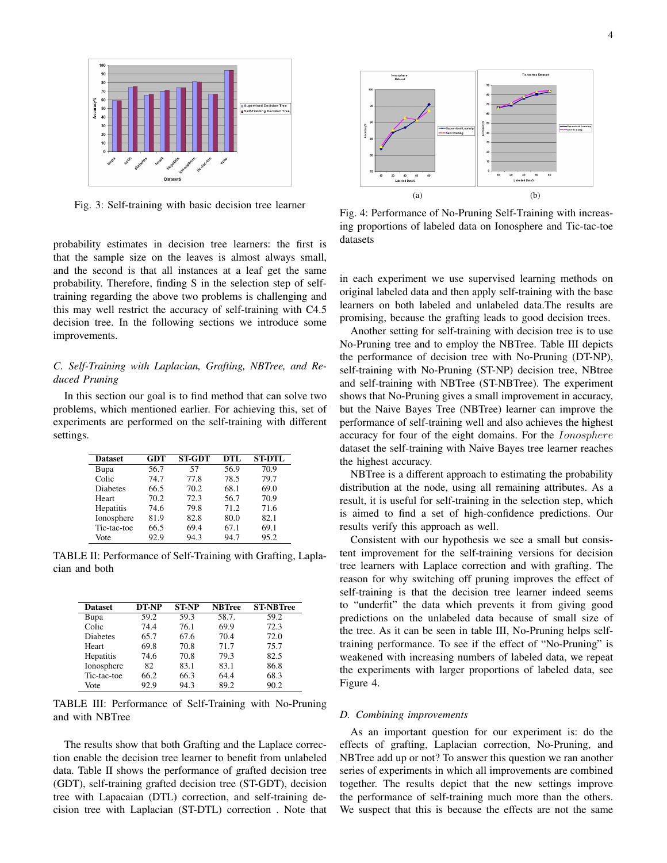

Fig. 3: Self-training with basic decision tree learner

probability estimates in decision tree learners: the first is that the sample size on the leaves is almost always small, and the second is that all instances at a leaf get the same probability. Therefore, finding S in the selection step of selftraining regarding the above two problems is challenging and this may well restrict the accuracy of self-training with C4.5 decision tree. In the following sections we introduce some improvements.

### *C. Self-Training with Laplacian, Grafting, NBTree, and Reduced Pruning*

In this section our goal is to find method that can solve two problems, which mentioned earlier. For achieving this, set of experiments are performed on the self-training with different settings.

| <b>Dataset</b>  | <b>GDT</b> | <b>ST-GDT</b> | DTL  | <b>ST-DTL</b> |
|-----------------|------------|---------------|------|---------------|
| Bupa            | 56.7       | 57            | 56.9 | 70.9          |
| Colic           | 74.7       | 77.8          | 78.5 | 79.7          |
| <b>Diabetes</b> | 66.5       | 70.2          | 68.1 | 69.0          |
| Heart           | 70.2       | 72.3          | 56.7 | 70.9          |
| Hepatitis       | 74.6       | 79.8          | 71.2 | 71.6          |
| Ionosphere      | 81.9       | 82.8          | 80.0 | 82.1          |
| Tic-tac-toe     | 66.5       | 69.4          | 67.1 | 69.1          |
| Vote            | 92.9       | 94.3          | 94.7 | 95.2          |

TABLE II: Performance of Self-Training with Grafting, Laplacian and both

| <b>Dataset</b> | DT-NP | <b>ST-NP</b>      | <b>NBTree</b> | <b>ST-NBTree</b> |
|----------------|-------|-------------------|---------------|------------------|
| Bupa           | 59.2  | $\overline{59.3}$ | 58.7.         | 59.2             |
| Colic          | 74.4  | 76.1              | 69.9          | 72.3             |
| Diabetes       | 65.7  | 67.6              | 70.4          | 72.0             |
| Heart          | 69.8  | 70.8              | 71.7          | 75.7             |
| Hepatitis      | 74.6  | 70.8              | 79.3          | 82.5             |
| Ionosphere     | 82    | 83.1              | 83.1          | 86.8             |
| Tic-tac-toe    | 66.2  | 66.3              | 64.4          | 68.3             |
| Vote           | 92.9  | 94.3              | 89.2          | 90.2             |

TABLE III: Performance of Self-Training with No-Pruning and with NBTree

The results show that both Grafting and the Laplace correction enable the decision tree learner to benefit from unlabeled data. Table II shows the performance of grafted decision tree (GDT), self-training grafted decision tree (ST-GDT), decision tree with Lapacaian (DTL) correction, and self-training decision tree with Laplacian (ST-DTL) correction . Note that



Fig. 4: Performance of No-Pruning Self-Training with increasing proportions of labeled data on Ionosphere and Tic-tac-toe datasets

in each experiment we use supervised learning methods on original labeled data and then apply self-training with the base learners on both labeled and unlabeled data.The results are promising, because the grafting leads to good decision trees.

Another setting for self-training with decision tree is to use No-Pruning tree and to employ the NBTree. Table III depicts the performance of decision tree with No-Pruning (DT-NP), self-training with No-Pruning (ST-NP) decision tree, NBtree and self-training with NBTree (ST-NBTree). The experiment shows that No-Pruning gives a small improvement in accuracy, but the Naive Bayes Tree (NBTree) learner can improve the performance of self-training well and also achieves the highest accuracy for four of the eight domains. For the Ionosphere dataset the self-training with Naive Bayes tree learner reaches the highest accuracy.

NBTree is a different approach to estimating the probability distribution at the node, using all remaining attributes. As a result, it is useful for self-training in the selection step, which is aimed to find a set of high-confidence predictions. Our results verify this approach as well.

Consistent with our hypothesis we see a small but consistent improvement for the self-training versions for decision tree learners with Laplace correction and with grafting. The reason for why switching off pruning improves the effect of self-training is that the decision tree learner indeed seems to "underfit" the data which prevents it from giving good predictions on the unlabeled data because of small size of the tree. As it can be seen in table III, No-Pruning helps selftraining performance. To see if the effect of "No-Pruning" is weakened with increasing numbers of labeled data, we repeat the experiments with larger proportions of labeled data, see Figure 4.

#### *D. Combining improvements*

As an important question for our experiment is: do the effects of grafting, Laplacian correction, No-Pruning, and NBTree add up or not? To answer this question we ran another series of experiments in which all improvements are combined together. The results depict that the new settings improve the performance of self-training much more than the others. We suspect that this is because the effects are not the same